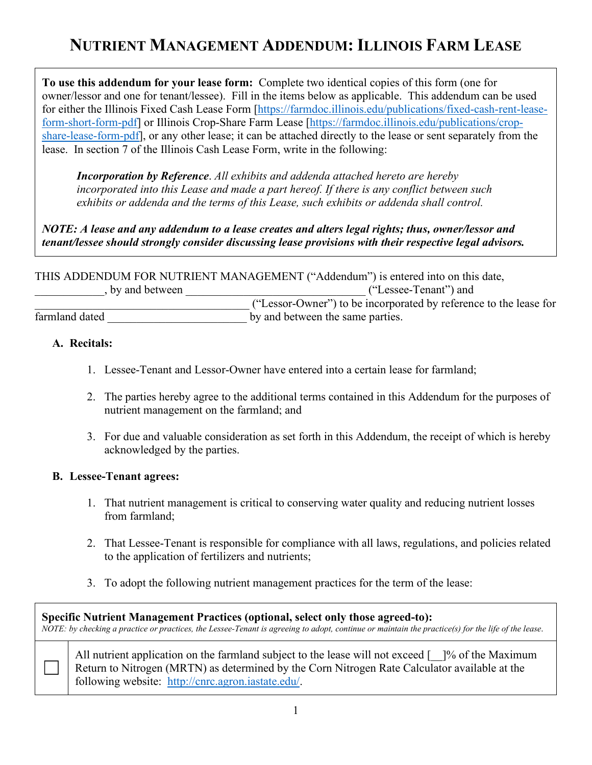# **NUTRIENT MANAGEMENT ADDENDUM: ILLINOIS FARM LEASE**

**To use this addendum for your lease form:** Complete two identical copies of this form (one for owner/lessor and one for tenant/lessee). Fill in the items below as applicable. This addendum can be used for either the Illinois Fixed Cash Lease Form [\[https://farmdoc.illinois.edu/publications/fixed-cash-rent-lease](https://farmdoc.illinois.edu/publications/fixed-cash-rent-lease-form-short-form-pdf)[form-short-form-pdf\]](https://farmdoc.illinois.edu/publications/fixed-cash-rent-lease-form-short-form-pdf) or Illinois Crop-Share Farm Lease [\[https://farmdoc.illinois.edu/publications/crop](https://farmdoc.illinois.edu/publications/crop-share-lease-form-pdf)[share-lease-form-pdf\]](https://farmdoc.illinois.edu/publications/crop-share-lease-form-pdf), or any other lease; it can be attached directly to the lease or sent separately from the lease. In section 7 of the Illinois Cash Lease Form, write in the following:

*Incorporation by Reference*. *All exhibits and addenda attached hereto are hereby incorporated into this Lease and made a part hereof. If there is any conflict between such exhibits or addenda and the terms of this Lease, such exhibits or addenda shall control.*

*NOTE: A lease and any addendum to a lease creates and alters legal rights; thus, owner/lessor and tenant/lessee should strongly consider discussing lease provisions with their respective legal advisors.*

THIS ADDENDUM FOR NUTRIENT MANAGEMENT ("Addendum") is entered into on this date, \_\_\_\_\_\_\_\_\_\_\_\_, by and between \_\_\_\_\_\_\_\_\_\_\_\_\_\_\_\_\_\_\_\_\_\_\_\_\_\_\_\_\_\_\_ ("Lessee-Tenant") and \_\_\_\_\_\_\_\_\_\_\_\_\_\_\_\_\_\_\_\_\_\_\_\_\_\_\_\_\_\_\_\_\_\_\_\_\_ ("Lessor-Owner") to be incorporated by reference to the lease for farmland dated by and between the same parties.

### **A. Recitals:**

- 1. Lessee-Tenant and Lessor-Owner have entered into a certain lease for farmland;
- 2. The parties hereby agree to the additional terms contained in this Addendum for the purposes of nutrient management on the farmland; and
- 3. For due and valuable consideration as set forth in this Addendum, the receipt of which is hereby acknowledged by the parties.

### **B. Lessee-Tenant agrees:**

- 1. That nutrient management is critical to conserving water quality and reducing nutrient losses from farmland;
- 2. That Lessee-Tenant is responsible for compliance with all laws, regulations, and policies related to the application of fertilizers and nutrients;
- 3. To adopt the following nutrient management practices for the term of the lease:

**Specific Nutrient Management Practices (optional, select only those agreed-to):** *NOTE: by checking a practice or practices, the Lessee-Tenant is agreeing to adopt, continue or maintain the practice(s) for the life of the lease*. All nutrient application on the farmland subject to the lease will not exceed [1]% of the Maximum Return to Nitrogen (MRTN) as determined by the Corn Nitrogen Rate Calculator available at the following website: [http://cnrc.agron.iastate.edu/.](http://cnrc.agron.iastate.edu/)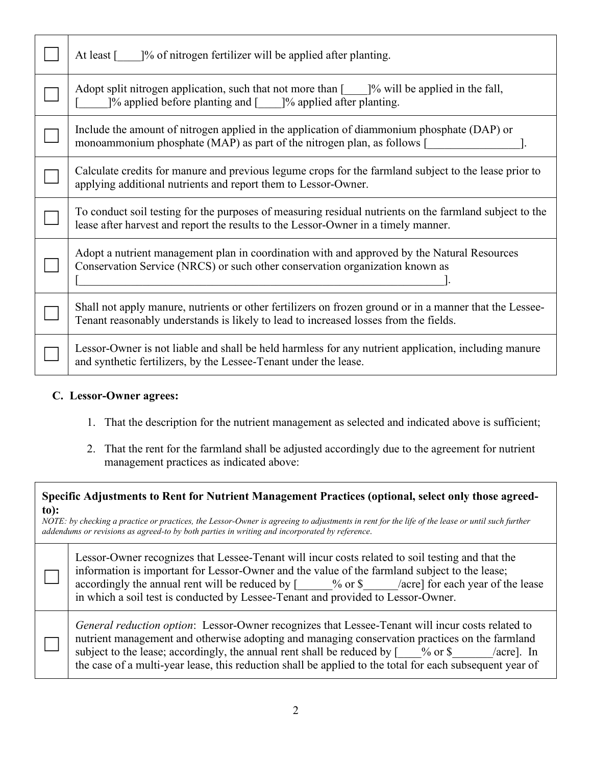| At least [ ]% of nitrogen fertilizer will be applied after planting.                                                                                                                            |
|-------------------------------------------------------------------------------------------------------------------------------------------------------------------------------------------------|
| Adopt split nitrogen application, such that not more than $\lbrack \quad \quad \rbrack$ % will be applied in the fall,<br>[% applied before planting and [164] [% applied after planting.       |
| Include the amount of nitrogen applied in the application of diammonium phosphate (DAP) or<br>monoammonium phosphate (MAP) as part of the nitrogen plan, as follows [                           |
| Calculate credits for manure and previous legume crops for the farmland subject to the lease prior to<br>applying additional nutrients and report them to Lessor-Owner.                         |
| To conduct soil testing for the purposes of measuring residual nutrients on the farmland subject to the<br>lease after harvest and report the results to the Lessor-Owner in a timely manner.   |
| Adopt a nutrient management plan in coordination with and approved by the Natural Resources<br>Conservation Service (NRCS) or such other conservation organization known as                     |
| Shall not apply manure, nutrients or other fertilizers on frozen ground or in a manner that the Lessee-<br>Tenant reasonably understands is likely to lead to increased losses from the fields. |
| Lessor-Owner is not liable and shall be held harmless for any nutrient application, including manure<br>and synthetic fertilizers, by the Lessee-Tenant under the lease.                        |

#### **C. Lessor-Owner agrees:**

 $\Box$ 

 $\Box$ 

- 1. That the description for the nutrient management as selected and indicated above is sufficient;
- 2. That the rent for the farmland shall be adjusted accordingly due to the agreement for nutrient management practices as indicated above:

| Specific Adjustments to Rent for Nutrient Management Practices (optional, select only those agreed- |  |
|-----------------------------------------------------------------------------------------------------|--|
| to):                                                                                                |  |

*NOTE: by checking a practice or practices, the Lessor-Owner is agreeing to adjustments in rent for the life of the lease or until such further addendums or revisions as agreed-to by both parties in writing and incorporated by reference*.

| Lessor-Owner recognizes that Lessee-Tenant will incur costs related to soil testing and that the |  |                                         |  |  |  |  |
|--------------------------------------------------------------------------------------------------|--|-----------------------------------------|--|--|--|--|
| information is important for Lessor-Owner and the value of the farmland subject to the lease;    |  |                                         |  |  |  |  |
| accordingly the annual rent will be reduced by $\lceil$ % or \$                                  |  | <i>lacre</i> for each year of the lease |  |  |  |  |
| in which a soil test is conducted by Lessee-Tenant and provided to Lessor-Owner.                 |  |                                         |  |  |  |  |

*General reduction option*: Lessor-Owner recognizes that Lessee-Tenant will incur costs related to nutrient management and otherwise adopting and managing conservation practices on the farmland subject to the lease; accordingly, the annual rent shall be reduced by  $[$  % or \$  $/$  acre]. In the case of a multi-year lease, this reduction shall be applied to the total for each subsequent year of